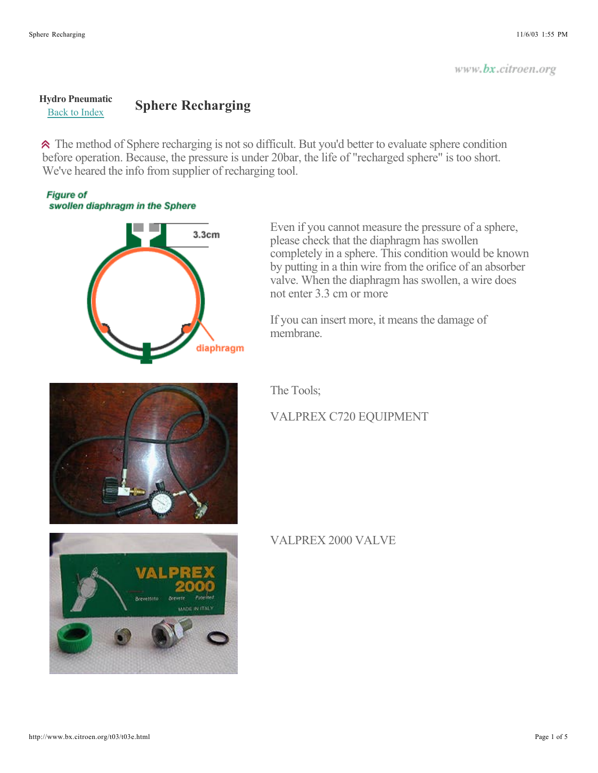## **Hydro Pneumatic Sphere Recharging Sphere**

The method of Sphere recharging is not so difficult. But you'd better to evaluate sphere condition before operation. Because, the pressure is under 20bar, the life of "recharged sphere" is too short. We've heared the info from supplier of recharging tool.

## **Figure of** swollen diaphragm in the Sphere



Even if you cannot measure the pressure of a sphere, please check that the diaphragm has swollen completely in a sphere. This condition would be known by putting in a thin wire from the orifice of an absorber valve. When the diaphragm has swollen, a wire does not enter 3.3 cm or more

If you can insert more, it means the damage of membrane.

The Tools;

## VALPREX C720 EQUIPMENT



## VALPREX 2000 VALVE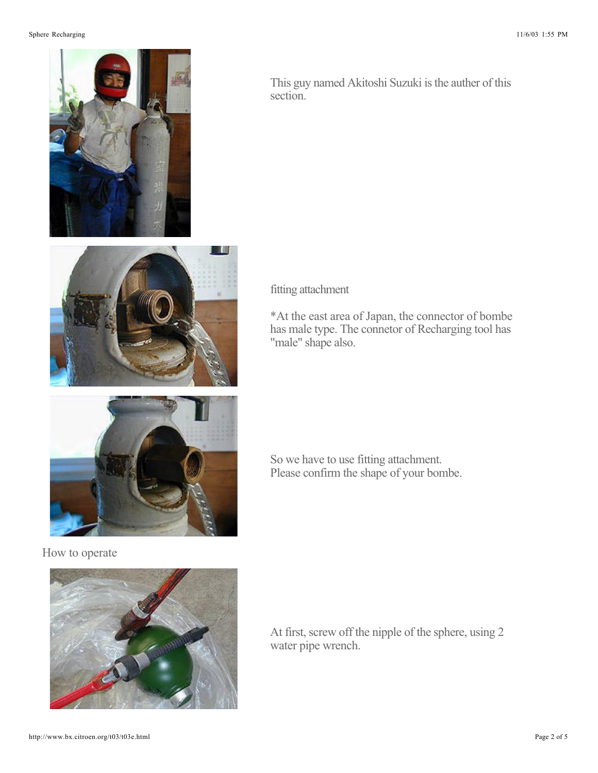

How to operate



This guy named Akitoshi Suzuki is the auther of this section.

fitting attachment

\*At the east area of Japan, the connector of bombe has male type. The connetor of Recharging tool has "male" shape also.

So we have to use fitting attachment. Please confirm the shape of your bombe.

At first, screw off the nipple of the sphere, using 2 water pipe wrench.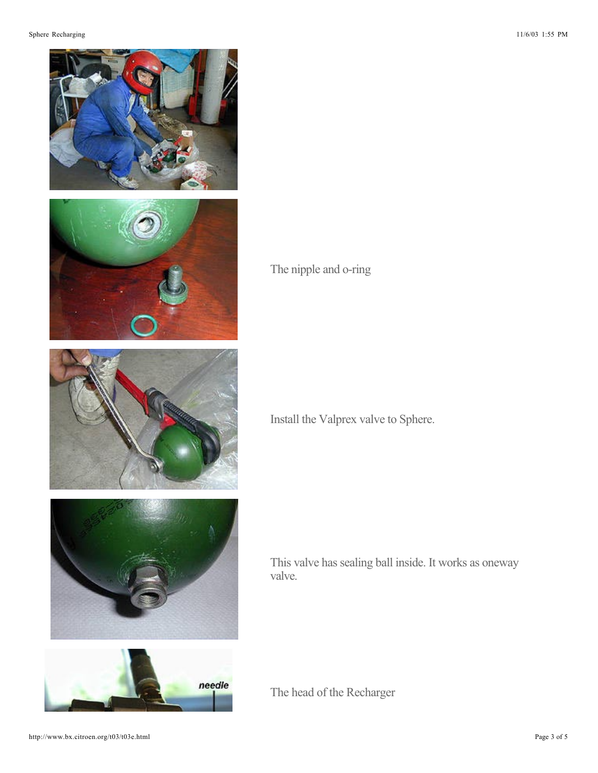

The nipple and o-ring

Install the Valprex valve to Sphere.

This valve has sealing ball inside. It works as oneway valve.

The head of the Recharger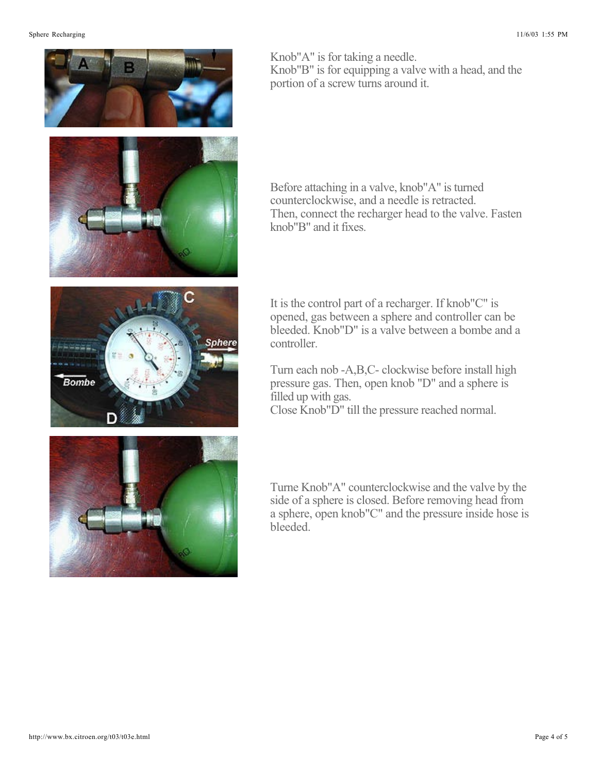

Knob"A" is for taking a needle. Knob"B" is for equipping a valve with a head, and the portion of a screw turns around it.

Before attaching in a valve, knob"A" is turned counterclockwise, and a needle is retracted. Then, connect the recharger head to the valve. Fasten knob"B" and it fixes.

It is the control part of a recharger. If knob"C" is opened, gas between a sphere and controller can be bleeded. Knob"D" is a valve between a bombe and a controller.

Turn each nob -A,B,C- clockwise before install high pressure gas. Then, open knob "D" and a sphere is filled up with gas. Close Knob"D" till the pressure reached normal.

Turne Knob"A" counterclockwise and the valve by the side of a sphere is closed. Before removing head from a sphere, open knob"C" and the pressure inside hose is bleeded.